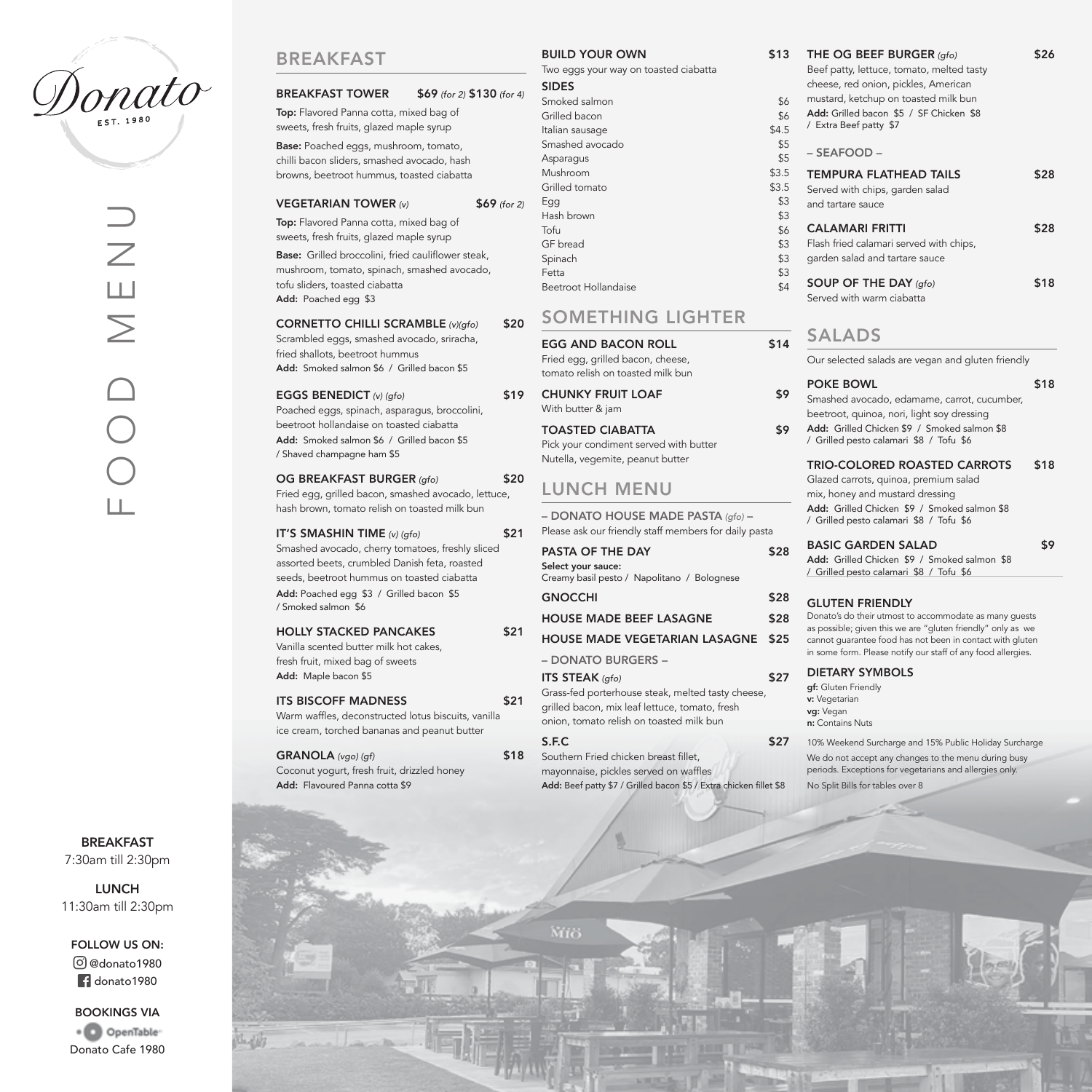

# BREAKFAST

# BREAKFAST TOWER \$69 *(for 2)* \$130 *(for 4)*

Top: Flavored Panna cotta, mixed bag of sweets, fresh fruits, glazed maple syrup Base: Poached eggs, mushroom, tomato, chilli bacon sliders, smashed avocado, hash browns, beetroot hummus, toasted ciabatta

#### VEGETARIAN TOWER *(v)* \$69 *(for 2)*

Top: Flavored Panna cotta, mixed bag of sweets, fresh fruits, glazed maple syrup

Base: Grilled broccolini, fried cauliflower steak, mushroom, tomato, spinach, smashed avocado, tofu sliders, toasted ciabatta Add: Poached egg \$3

#### CORNETTO CHILLI SCRAMBLE *(v)(gfo)* \$20

Scrambled eggs, smashed avocado, sriracha, fried shallots, beetroot hummus Add: Smoked salmon \$6 / Grilled bacon \$5

#### EGGS BENEDICT (v) (qfo) \$19

Poached eggs, spinach, asparagus, broccolini, beetroot hollandaise on toasted ciabatta Add: Smoked salmon \$6 / Grilled bacon \$5 / Shaved champagne ham \$5

#### OG BREAKFAST BURGER (gfo) \$20

Fried egg, grilled bacon, smashed avocado, lettuce, hash brown, tomato relish on toasted milk bun

#### IT'S SMASHIN TIME *(v) (gfo)* \$21

Smashed avocado, cherry tomatoes, freshly sliced assorted beets, crumbled Danish feta, roasted seeds, beetroot hummus on toasted ciabatta Add: Poached egg \$3 / Grilled bacon \$5 / Smoked salmon \$6

#### HOLLY STACKED PANCAKES \$21

Vanilla scented butter milk hot cakes, fresh fruit, mixed bag of sweets Add: Maple bacon \$5

#### ITS BISCOFF MADNESS \$21

Warm waffles, deconstructed lotus biscuits, vanilla ice cream, torched bananas and peanut butter

GRANOLA (vgo) (gf) \$18 Coconut yogurt, fresh fruit, drizzled honey Add: Flavoured Panna cotta \$9

#### BUILD YOUR OWN \$13

Two eggs your way on toasted ciabatta

#### SIDES Smoked salmon \$6

Grilled bacon \$6 Italian sausage  $$4.5$ Smashed avocado **\$5** Asparagus **\$5** Mushroom \$3.5 Grilled tomato **\$3.5**  $Egg$   $$3$ Hash brown \$3 Tofu \$6 GF bread  $$3$ Spinach  $\sim$  \$3  $\epsilon$ Fetta  $\sim$  33 Beetroot Hollandaise **\$4** 

# SOMETHING LIGHTER

EGG AND BACON ROLL \$14 Fried egg, grilled bacon, cheese,

tomato relish on toasted milk bun

CHUNKY FRUIT LOAF \$9 With butter & jam

TOASTED CIABATTA 59 Pick your condiment served with butter Nutella, vegemite, peanut butter

# LUNCH MENU

– DONATO HOUSE MADE PASTA *(gfo)* – Please ask our friendly staff members for daily pasta

# PASTA OF THE DAY \$28

Select your sauce: Creamy basil pesto / Napolitano / Bolognese

HOUSE MADE BEEF LASAGNE \$28

HOUSE MADE VEGETARIAN LASAGNE \$25

#### – DONATO BURGERS –

## **ITS STEAK** (gfo) \$27

Grass-fed porterhouse steak, melted tasty cheese, grilled bacon, mix leaf lettuce, tomato, fresh onion, tomato relish on toasted milk bun

#### $S.F.C$  \$27

Southern Fried chicken breast fillet, mayonnaise, pickles served on waffles Add: Beef patty \$7 / Grilled bacon \$5 / Extra chicken fillet \$8

# Beef patty, lettuce, tomato, melted tasty cheese, red onion, pickles, American mustard, ketchup on toasted milk bun Add: Grilled bacon \$5 / SF Chicken \$8 / Extra Beef patty \$7 – SEAFOOD – TEMPURA FLATHEAD TAILS \$28 Served with chips, garden salad and tartare sauce CALAMARI FRITTI \$28 Flash fried calamari served with chips, garden salad and tartare sauce SOUP OF THE DAY (gfo) \$18 Served with warm ciabatta

\$13 THE OG BEEF BURGER (gfo) \$26

# SALADS

Our selected salads are vegan and gluten friendly

POKE BOWL \$18 Smashed avocado, edamame, carrot, cucumber, beetroot, quinoa, nori, light soy dressing Add: Grilled Chicken \$9 / Smoked salmon \$8 / Grilled pesto calamari \$8 / Tofu \$6

### TRIO-COLORED ROASTED CARROTS \$18

Glazed carrots, quinoa, premium salad mix, honey and mustard dressing Add: Grilled Chicken \$9 / Smoked salmon \$8 / Grilled pesto calamari \$8 / Tofu \$6

# BASIC GARDEN SALAD \$9

Add: Grilled Chicken \$9 / Smoked salmon \$8 / Grilled pesto calamari \$8 / Tofu \$6

#### GNOCCHI \$28 GLUTEN FRIENDLY

Donato's do their utmost to accommodate as many guests as possible; given this we are "gluten friendly" only as we cannot guarantee food has not been in contact with gluten in some form. Please notify our staff of any food allergies.

# DIETARY SYMBOLS

gf: Gluten Friendly v: Vegetarian va: Vegan n: Contains Nuts

10% Weekend Surcharge and 15% Public Holiday Surcharge We do not accept any changes to the menu during busy periods. Exceptions for vegetarians and allergies only. No Split Bills for tables over 8

BREAKFAST 7:30am till 2:30pm

LUNCH 11:30am till 2:30pm

FOLLOW US ON:

@donato1980 **donato1980** 

BOOKINGS VIA · O OpenTable Donato Cafe 1980